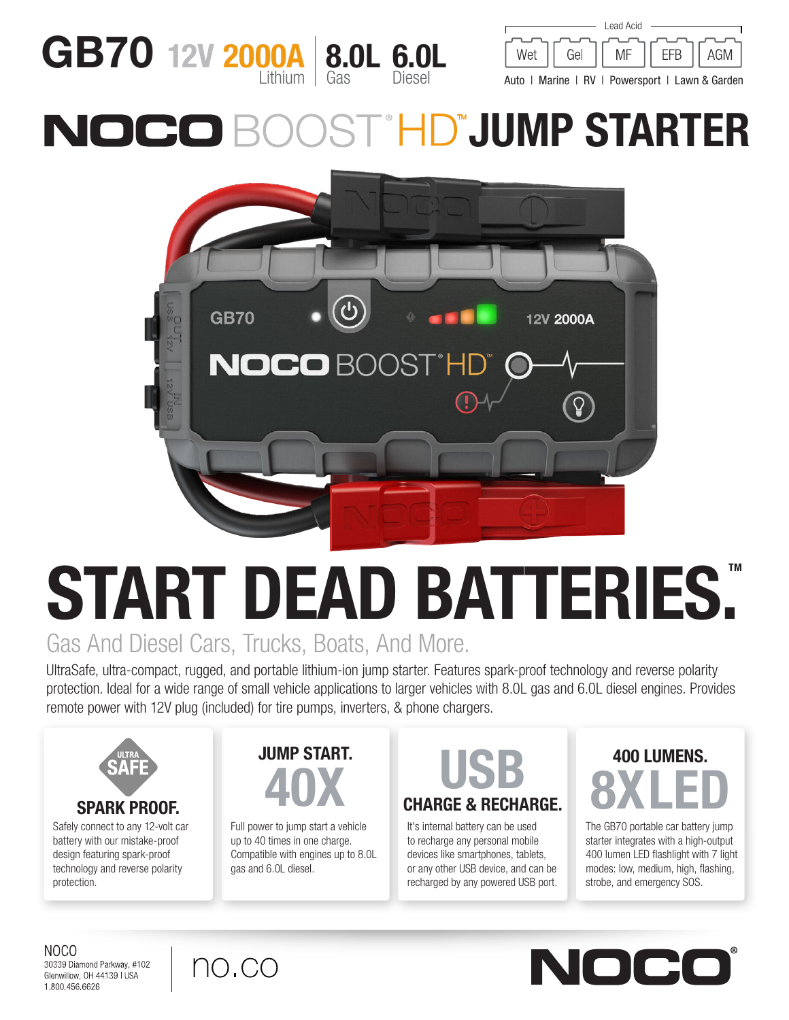



Auto | Marine | RV | Powersport | Lawn & Garden

## **ST<sup>HD</sup>JUMP STARTER** NOCO



# START DEAD BATTERIES. Gas And Diesel Cars, Trucks, Boats, And More.

UltraSafe, ultra-compact, rugged, and portable lithium-ion jump starter. Features spark-proof technology and reverse polarity protection. Ideal for a wide range of small vehicle applications to larger vehicles with 8.0L gas and 6.0L diesel engines. Provides remote power with 12V plug (included) for tire pumps, inverters, & phone chargers.



Safely connect to any 12-volt car battery with our mistake-proof design featuring spark-proof technology and reverse polarity protection.



Full power to jump start a vehicle up to 40 times in one charge. Compatible with engines up to 8.0L gas and 6.0L diesel.

## CHARGE & RECHARGE. UMP START.<br>40X CHARGE & RECHA

It's internal battery can be used to recharge any personal mobile devices like smartphones, tablets, or any other USB device, and can be recharged by any powered USB port.

## 400 LUMENS. 8XLED

The GB70 portable car battery jump starter integrates with a high-output 400 lumen LED flashlight with 7 light modes: low, medium, high, flashing, strobe, and emergency SOS.

NOCO 30339 Diamond Parkway, #102 Glenwillow, OH 44139 | USA 1.800.456.6626